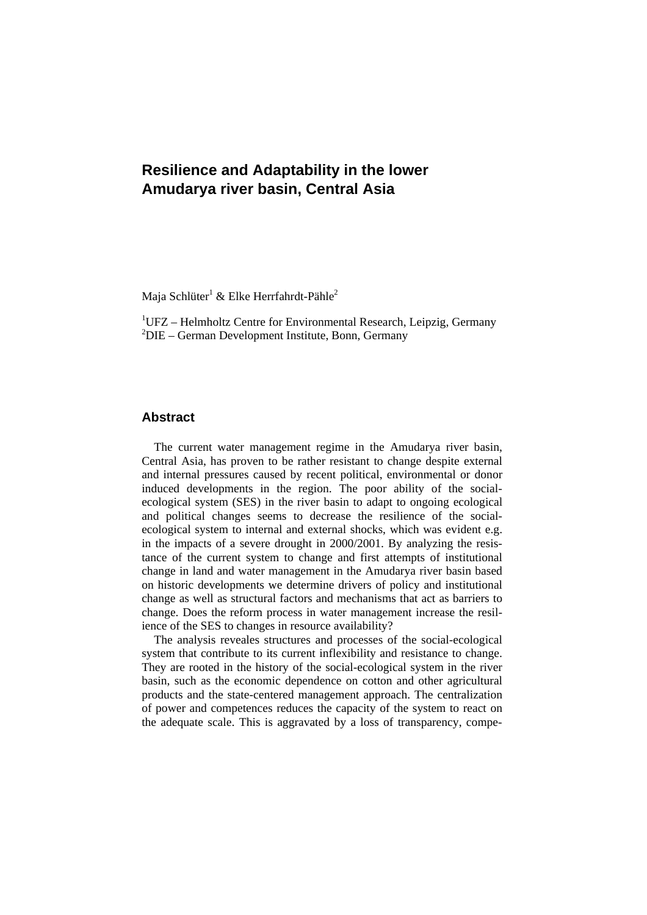# **Resilience and Adaptability in the lower Amudarya river basin, Central Asia**

Maja Schlüter $^1$  & Elke Herrfahrdt-Pähle $^2$ 

<sup>1</sup>UFZ – Helmholtz Centre for Environmental Research, Leipzig, Germany 2 DIE – German Development Institute, Bonn, Germany

# **Abstract**

The current water management regime in the Amudarya river basin, Central Asia, has proven to be rather resistant to change despite external and internal pressures caused by recent political, environmental or donor induced developments in the region. The poor ability of the socialecological system (SES) in the river basin to adapt to ongoing ecological and political changes seems to decrease the resilience of the socialecological system to internal and external shocks, which was evident e.g. in the impacts of a severe drought in 2000/2001. By analyzing the resistance of the current system to change and first attempts of institutional change in land and water management in the Amudarya river basin based on historic developments we determine drivers of policy and institutional change as well as structural factors and mechanisms that act as barriers to change. Does the reform process in water management increase the resilience of the SES to changes in resource availability?

The analysis reveales structures and processes of the social-ecological system that contribute to its current inflexibility and resistance to change. They are rooted in the history of the social-ecological system in the river basin, such as the economic dependence on cotton and other agricultural products and the state-centered management approach. The centralization of power and competences reduces the capacity of the system to react on the adequate scale. This is aggravated by a loss of transparency, compe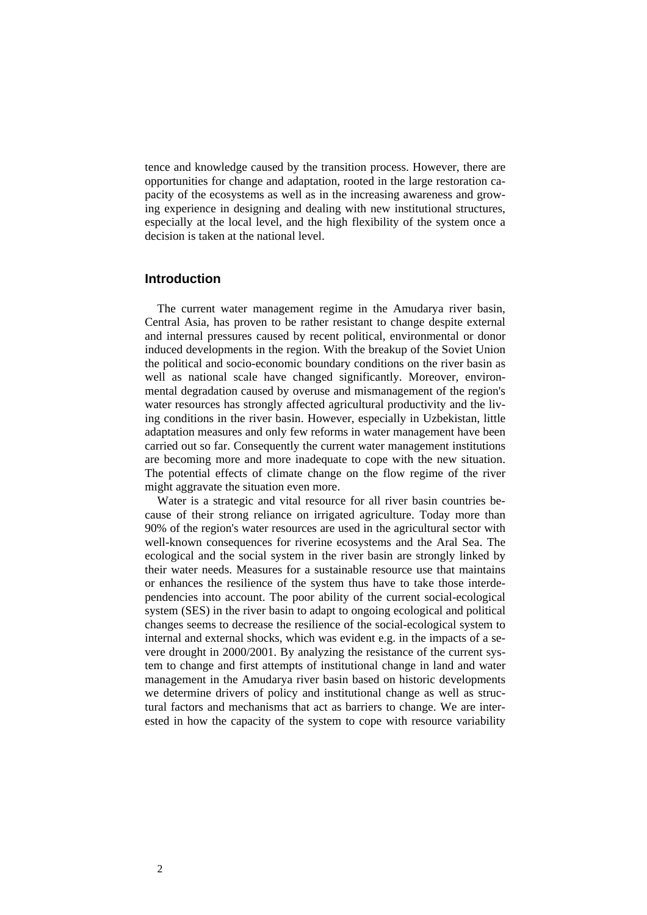tence and knowledge caused by the transition process. However, there are opportunities for change and adaptation, rooted in the large restoration capacity of the ecosystems as well as in the increasing awareness and growing experience in designing and dealing with new institutional structures, especially at the local level, and the high flexibility of the system once a decision is taken at the national level.

# **Introduction**

The current water management regime in the Amudarya river basin, Central Asia, has proven to be rather resistant to change despite external and internal pressures caused by recent political, environmental or donor induced developments in the region. With the breakup of the Soviet Union the political and socio-economic boundary conditions on the river basin as well as national scale have changed significantly. Moreover, environmental degradation caused by overuse and mismanagement of the region's water resources has strongly affected agricultural productivity and the living conditions in the river basin. However, especially in Uzbekistan, little adaptation measures and only few reforms in water management have been carried out so far. Consequently the current water management institutions are becoming more and more inadequate to cope with the new situation. The potential effects of climate change on the flow regime of the river might aggravate the situation even more.

Water is a strategic and vital resource for all river basin countries because of their strong reliance on irrigated agriculture. Today more than 90% of the region's water resources are used in the agricultural sector with well-known consequences for riverine ecosystems and the Aral Sea. The ecological and the social system in the river basin are strongly linked by their water needs. Measures for a sustainable resource use that maintains or enhances the resilience of the system thus have to take those interdependencies into account. The poor ability of the current social-ecological system (SES) in the river basin to adapt to ongoing ecological and political changes seems to decrease the resilience of the social-ecological system to internal and external shocks, which was evident e.g. in the impacts of a severe drought in 2000/2001. By analyzing the resistance of the current system to change and first attempts of institutional change in land and water management in the Amudarya river basin based on historic developments we determine drivers of policy and institutional change as well as structural factors and mechanisms that act as barriers to change. We are interested in how the capacity of the system to cope with resource variability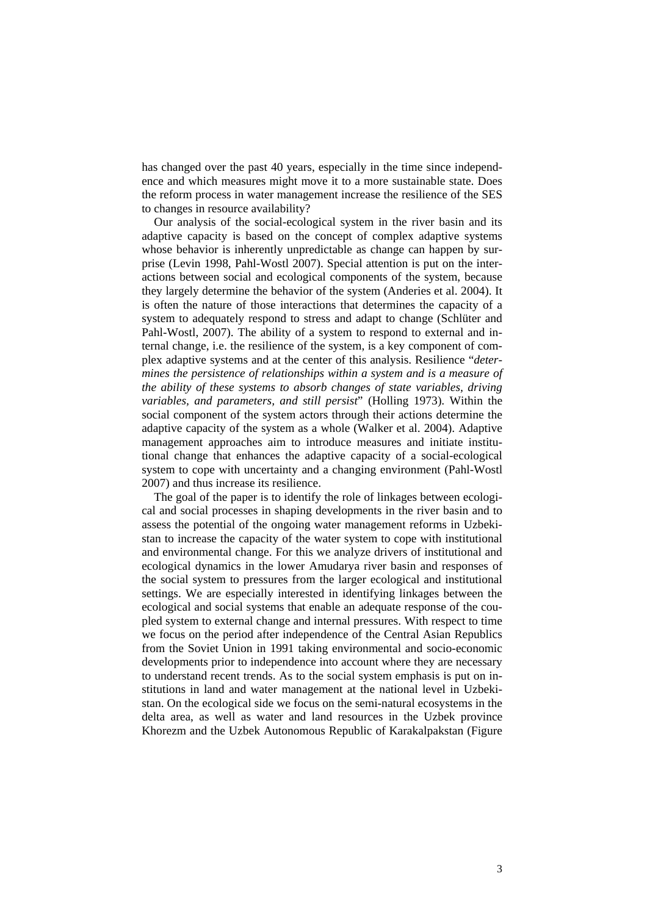has changed over the past 40 years, especially in the time since independence and which measures might move it to a more sustainable state. Does the reform process in water management increase the resilience of the SES to changes in resource availability?

Our analysis of the social-ecological system in the river basin and its adaptive capacity is based on the concept of complex adaptive systems whose behavior is inherently unpredictable as change can happen by surprise (Levin 1998, Pahl-Wostl 2007). Special attention is put on the interactions between social and ecological components of the system, because they largely determine the behavior of the system (Anderies et al. 2004). It is often the nature of those interactions that determines the capacity of a system to adequately respond to stress and adapt to change (Schlüter and Pahl-Wostl, 2007). The ability of a system to respond to external and internal change, i.e. the resilience of the system, is a key component of complex adaptive systems and at the center of this analysis. Resilience "*deter*mines the persistence of relationships within a system and is a measure of *the ability of these systems to absorb changes of state variables, driving variables, and parameters, and still persist*" (Holling 1973). Within the social component of the system actors through their actions determine the adaptive capacity of the system as a whole (Walker et al. 2004). Adaptive management approaches aim to introduce measures and initiate institutional change that enhances the adaptive capacity of a social-ecological system to cope with uncertainty and a changing environment (Pahl-Wostl 2007) and thus increase its resilience.

The goal of the paper is to identify the role of linkages between ecological and social processes in shaping developments in the river basin and to assess the potential of the ongoing water management reforms in Uzbekistan to increase the capacity of the water system to cope with institutional and environmental change. For this we analyze drivers of institutional and ecological dynamics in the lower Amudarya river basin and responses of the social system to pressures from the larger ecological and institutional settings. We are especially interested in identifying linkages between the ecological and social systems that enable an adequate response of the coupled system to external change and internal pressures. With respect to time we focus on the period after independence of the Central Asian Republics from the Soviet Union in 1991 taking environmental and socio-economic developments prior to independence into account where they are necessary to understand recent trends. As to the social system emphasis is put on institutions in land and water management at the national level in Uzbekistan. On the ecological side we focus on the semi-natural ecosystems in the delta area, as well as water and land resources in the Uzbek province Khorezm and the Uzbek Autonomous Republic of Karakalpakstan (Figure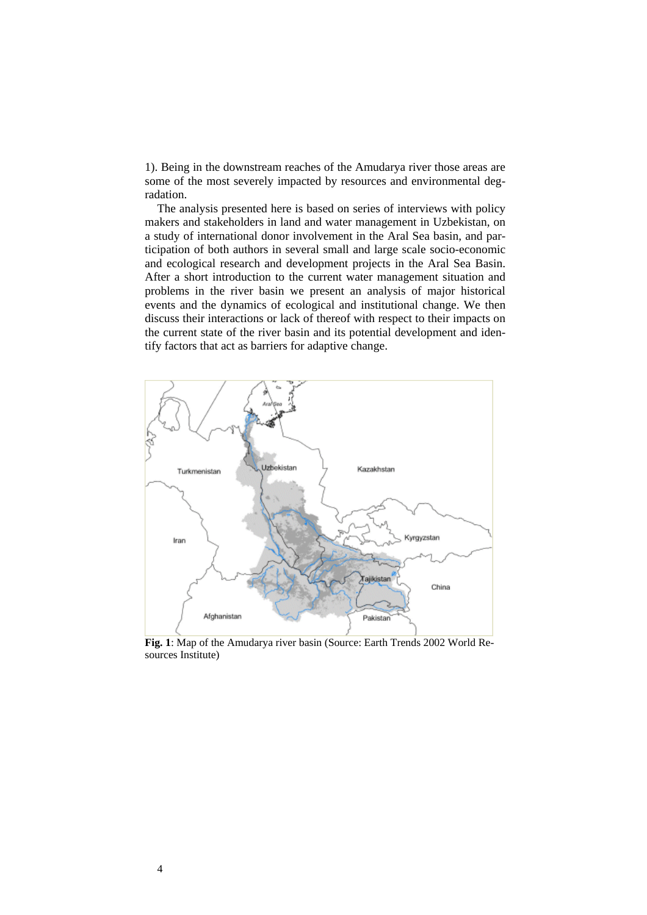1). Being in the downstream reaches of the Amudarya river those areas are some of the most severely impacted by resources and environmental degradation.

The analysis presented here is based on series of interviews with policy makers and stakeholders in land and water management in Uzbekistan, on a study of international donor involvement in the Aral Sea basin, and participation of both authors in several small and large scale socio-economic and ecological research and development projects in the Aral Sea Basin. After a short introduction to the current water management situation and problems in the river basin we present an analysis of major historical events and the dynamics of ecological and institutional change. We then discuss their interactions or lack of thereof with respect to their impacts on the current state of the river basin and its potential development and identify factors that act as barriers for adaptive change.



**Fig. 1**: Map of the Amudarya river basin (Source: Earth Trends 2002 World Resources Institute)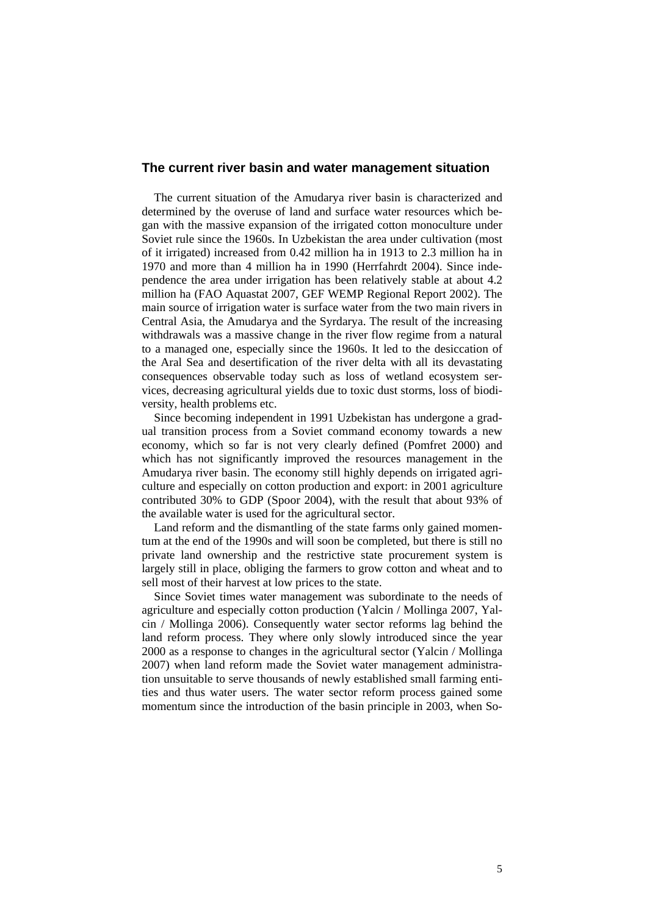## **The current river basin and water management situation**

The current situation of the Amudarya river basin is characterized and determined by the overuse of land and surface water resources which began with the massive expansion of the irrigated cotton monoculture under Soviet rule since the 1960s. In Uzbekistan the area under cultivation (most of it irrigated) increased from 0.42 million ha in 1913 to 2.3 million ha in 1970 and more than 4 million ha in 1990 (Herrfahrdt 2004). Since independence the area under irrigation has been relatively stable at about 4.2 million ha (FAO Aquastat 2007, GEF WEMP Regional Report 2002). The main source of irrigation water is surface water from the two main rivers in Central Asia, the Amudarya and the Syrdarya. The result of the increasing withdrawals was a massive change in the river flow regime from a natural to a managed one, especially since the 1960s. It led to the desiccation of the Aral Sea and desertification of the river delta with all its devastating consequences observable today such as loss of wetland ecosystem services, decreasing agricultural yields due to toxic dust storms, loss of biodiversity, health problems etc.

Since becoming independent in 1991 Uzbekistan has undergone a gradual transition process from a Soviet command economy towards a new economy, which so far is not very clearly defined (Pomfret 2000) and which has not significantly improved the resources management in the Amudarya river basin. The economy still highly depends on irrigated agriculture and especially on cotton production and export: in 2001 agriculture contributed 30% to GDP (Spoor 2004), with the result that about 93% of the available water is used for the agricultural sector.

Land reform and the dismantling of the state farms only gained momentum at the end of the 1990s and will soon be completed, but there is still no private land ownership and the restrictive state procurement system is largely still in place, obliging the farmers to grow cotton and wheat and to sell most of their harvest at low prices to the state.

Since Soviet times water management was subordinate to the needs of agriculture and especially cotton production (Yalcin / Mollinga 2007, Yalcin / Mollinga 2006). Consequently water sector reforms lag behind the land reform process. They where only slowly introduced since the year 2000 as a response to changes in the agricultural sector (Yalcin / Mollinga 2007) when land reform made the Soviet water management administration unsuitable to serve thousands of newly established small farming entities and thus water users. The water sector reform process gained some momentum since the introduction of the basin principle in 2003, when So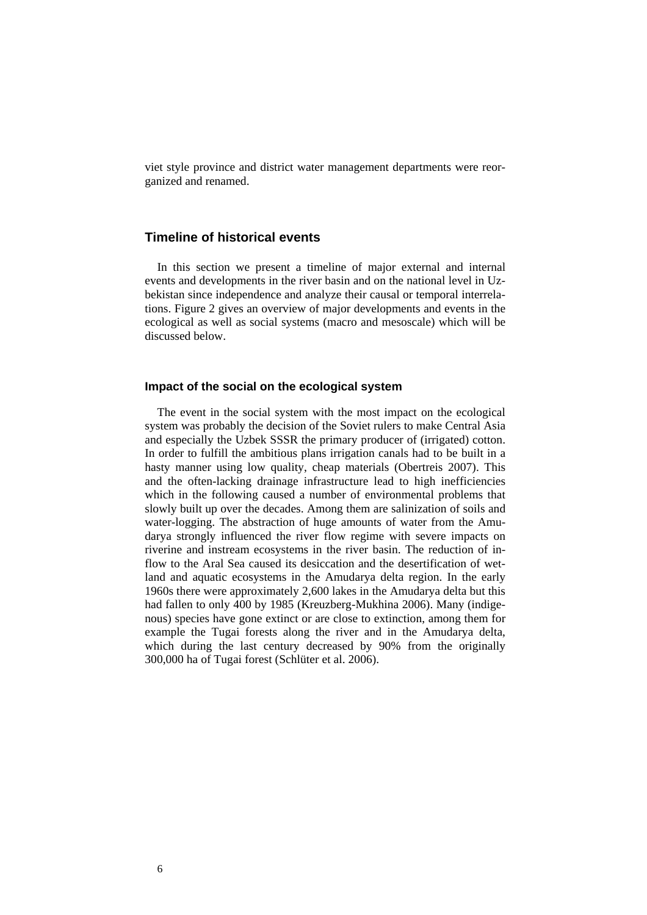viet style province and district water management departments were reorganized and renamed.

# **Timeline of historical events**

In this section we present a timeline of major external and internal events and developments in the river basin and on the national level in Uzbekistan since independence and analyze their causal or temporal interrelations. Figure 2 gives an overview of major developments and events in the ecological as well as social systems (macro and mesoscale) which will be discussed below.

## **Impact of the social on the ecological system**

The event in the social system with the most impact on the ecological system was probably the decision of the Soviet rulers to make Central Asia and especially the Uzbek SSSR the primary producer of (irrigated) cotton. In order to fulfill the ambitious plans irrigation canals had to be built in a hasty manner using low quality, cheap materials (Obertreis 2007). This and the often-lacking drainage infrastructure lead to high inefficiencies which in the following caused a number of environmental problems that slowly built up over the decades. Among them are salinization of soils and water-logging. The abstraction of huge amounts of water from the Amudarya strongly influenced the river flow regime with severe impacts on riverine and instream ecosystems in the river basin. The reduction of inflow to the Aral Sea caused its desiccation and the desertification of wetland and aquatic ecosystems in the Amudarya delta region. In the early 1960s there were approximately 2,600 lakes in the Amudarya delta but this had fallen to only 400 by 1985 (Kreuzberg-Mukhina 2006). Many (indigenous) species have gone extinct or are close to extinction, among them for example the Tugai forests along the river and in the Amudarya delta, which during the last century decreased by 90% from the originally 300,000 ha of Tugai forest (Schlüter et al. 2006).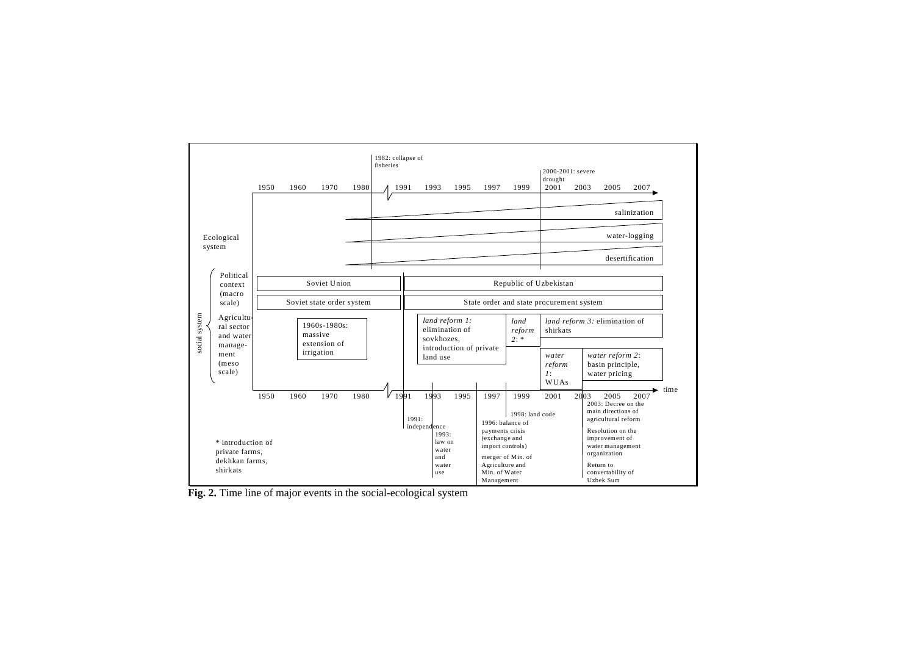

**Fig. 2.** Time line of major events in the social-ecological system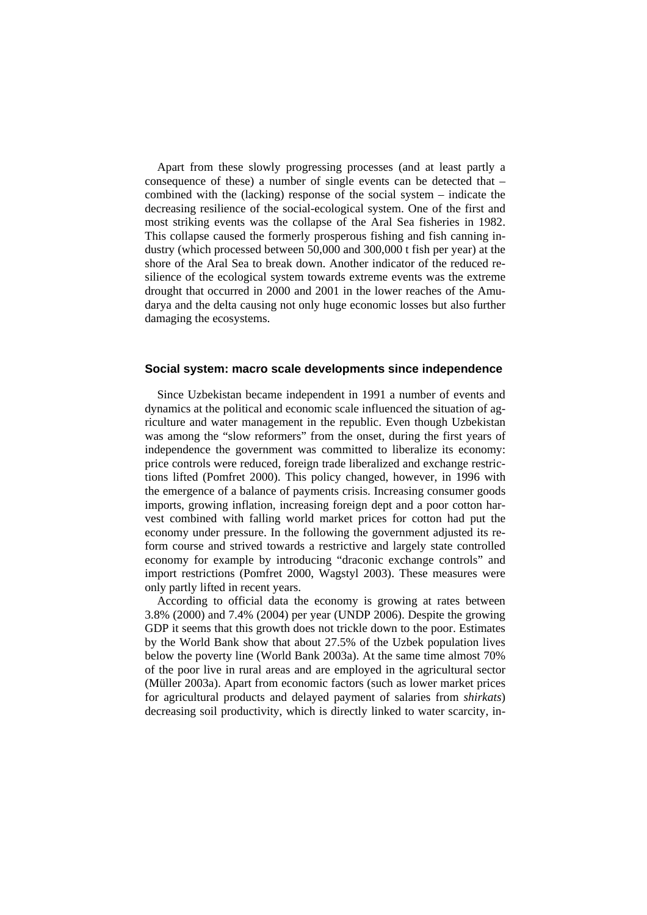Apart from these slowly progressing processes (and at least partly a consequence of these) a number of single events can be detected that – combined with the (lacking) response of the social system – indicate the decreasing resilience of the social-ecological system. One of the first and most striking events was the collapse of the Aral Sea fisheries in 1982. This collapse caused the formerly prosperous fishing and fish canning industry (which processed between 50,000 and 300,000 t fish per year) at the shore of the Aral Sea to break down. Another indicator of the reduced resilience of the ecological system towards extreme events was the extreme drought that occurred in 2000 and 2001 in the lower reaches of the Amudarya and the delta causing not only huge economic losses but also further damaging the ecosystems.

#### **Social system: macro scale developments since independence**

Since Uzbekistan became independent in 1991 a number of events and dynamics at the political and economic scale influenced the situation of agriculture and water management in the republic. Even though Uzbekistan was among the "slow reformers" from the onset, during the first years of independence the government was committed to liberalize its economy: price controls were reduced, foreign trade liberalized and exchange restrictions lifted (Pomfret 2000). This policy changed, however, in 1996 with the emergence of a balance of payments crisis. Increasing consumer goods imports, growing inflation, increasing foreign dept and a poor cotton harvest combined with falling world market prices for cotton had put the economy under pressure. In the following the government adjusted its reform course and strived towards a restrictive and largely state controlled economy for example by introducing "draconic exchange controls" and import restrictions (Pomfret 2000, Wagstyl 2003). These measures were only partly lifted in recent years.

According to official data the economy is growing at rates between 3.8% (2000) and 7.4% (2004) per year (UNDP 2006). Despite the growing GDP it seems that this growth does not trickle down to the poor. Estimates by the World Bank show that about 27.5% of the Uzbek population lives below the poverty line (World Bank 2003a). At the same time almost 70% of the poor live in rural areas and are employed in the agricultural sector (Müller 2003a). Apart from economic factors (such as lower market prices for agricultural products and delayed payment of salaries from *shirkats*) decreasing soil productivity, which is directly linked to water scarcity, in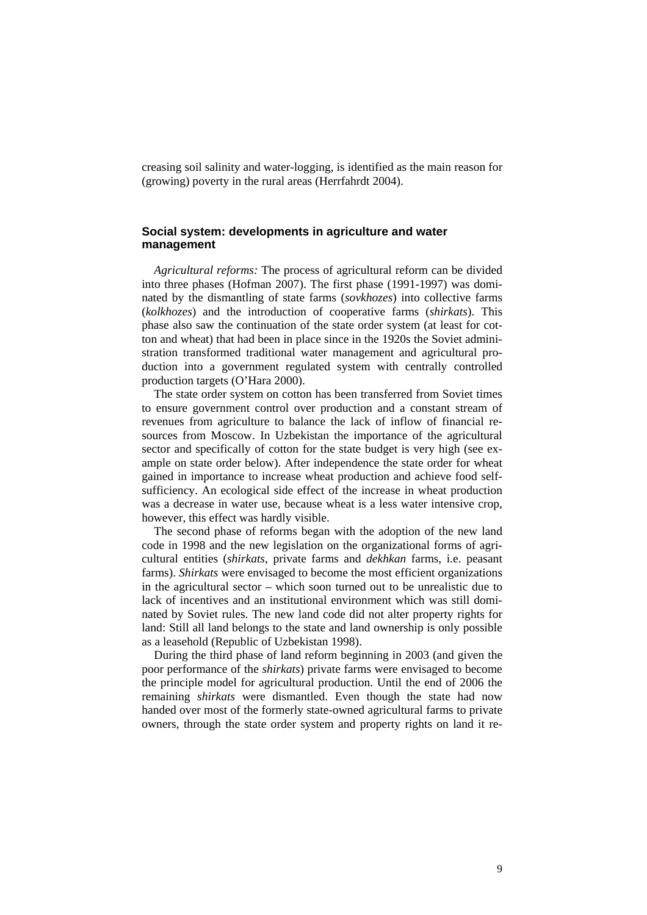creasing soil salinity and water-logging, is identified as the main reason for (growing) poverty in the rural areas (Herrfahrdt 2004).

# **Social system: developments in agriculture and water management**

*Agricultural reforms:* The process of agricultural reform can be divided into three phases (Hofman 2007). The first phase (1991-1997) was dominated by the dismantling of state farms (*sovkhozes*) into collective farms (*kolkhozes*) and the introduction of cooperative farms (*shirkats*). This phase also saw the continuation of the state order system (at least for cotton and wheat) that had been in place since in the 1920s the Soviet administration transformed traditional water management and agricultural production into a government regulated system with centrally controlled production targets (O'Hara 2000).

The state order system on cotton has been transferred from Soviet times to ensure government control over production and a constant stream of revenues from agriculture to balance the lack of inflow of financial resources from Moscow. In Uzbekistan the importance of the agricultural sector and specifically of cotton for the state budget is very high (see example on state order below). After independence the state order for wheat gained in importance to increase wheat production and achieve food selfsufficiency. An ecological side effect of the increase in wheat production was a decrease in water use, because wheat is a less water intensive crop, however, this effect was hardly visible.

The second phase of reforms began with the adoption of the new land code in 1998 and the new legislation on the organizational forms of agricultural entities (*shirkats*, private farms and *dekhkan* farms, i.e. peasant farms). *Shirkats* were envisaged to become the most efficient organizations in the agricultural sector – which soon turned out to be unrealistic due to lack of incentives and an institutional environment which was still dominated by Soviet rules. The new land code did not alter property rights for land: Still all land belongs to the state and land ownership is only possible as a leasehold (Republic of Uzbekistan 1998).

During the third phase of land reform beginning in 2003 (and given the poor performance of the *shirkats*) private farms were envisaged to become the principle model for agricultural production. Until the end of 2006 the remaining *shirkats* were dismantled. Even though the state had now handed over most of the formerly state-owned agricultural farms to private owners, through the state order system and property rights on land it re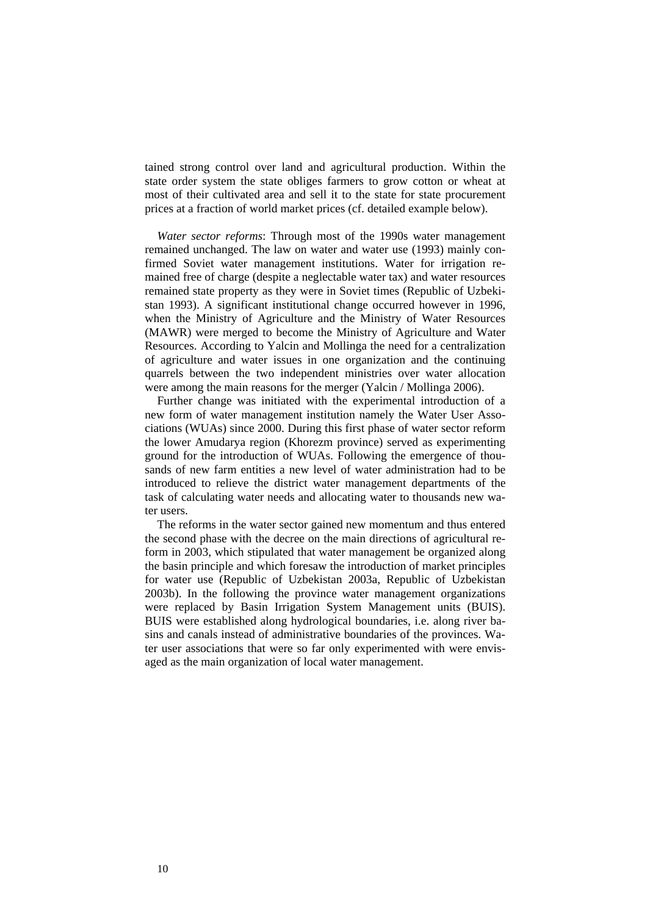tained strong control over land and agricultural production. Within the state order system the state obliges farmers to grow cotton or wheat at most of their cultivated area and sell it to the state for state procurement prices at a fraction of world market prices (cf. detailed example below).

*Water sector reforms*: Through most of the 1990s water management remained unchanged. The law on water and water use (1993) mainly confirmed Soviet water management institutions. Water for irrigation remained free of charge (despite a neglectable water tax) and water resources remained state property as they were in Soviet times (Republic of Uzbekistan 1993). A significant institutional change occurred however in 1996, when the Ministry of Agriculture and the Ministry of Water Resources (MAWR) were merged to become the Ministry of Agriculture and Water Resources. According to Yalcin and Mollinga the need for a centralization of agriculture and water issues in one organization and the continuing quarrels between the two independent ministries over water allocation were among the main reasons for the merger (Yalcin / Mollinga 2006).

Further change was initiated with the experimental introduction of a new form of water management institution namely the Water User Associations (WUAs) since 2000. During this first phase of water sector reform the lower Amudarya region (Khorezm province) served as experimenting ground for the introduction of WUAs. Following the emergence of thousands of new farm entities a new level of water administration had to be introduced to relieve the district water management departments of the task of calculating water needs and allocating water to thousands new water users.

The reforms in the water sector gained new momentum and thus entered the second phase with the decree on the main directions of agricultural reform in 2003, which stipulated that water management be organized along the basin principle and which foresaw the introduction of market principles for water use (Republic of Uzbekistan 2003a, Republic of Uzbekistan 2003b). In the following the province water management organizations were replaced by Basin Irrigation System Management units (BUIS). BUIS were established along hydrological boundaries, i.e. along river basins and canals instead of administrative boundaries of the provinces. Water user associations that were so far only experimented with were envisaged as the main organization of local water management.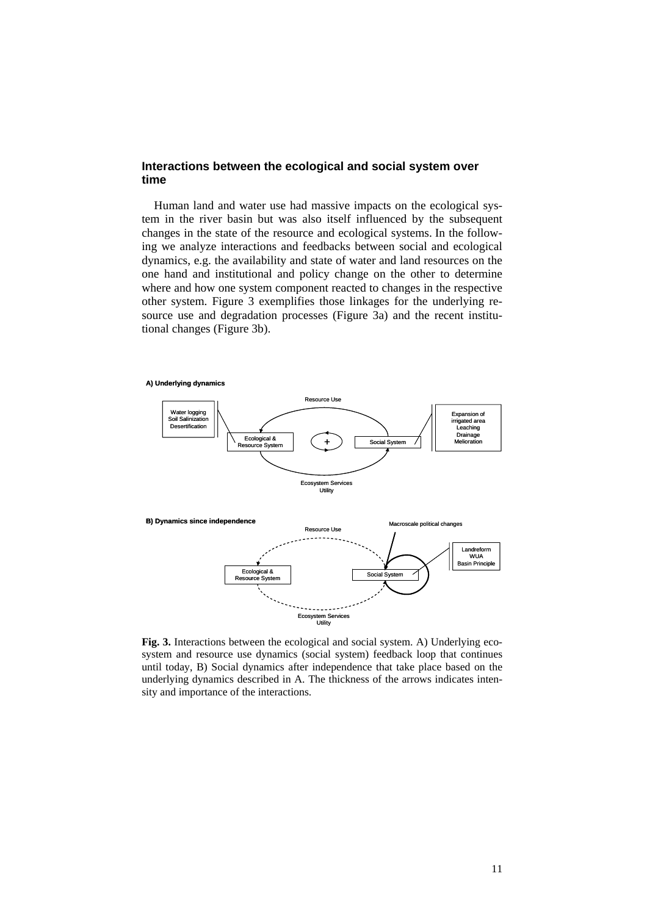## **Interactions between the ecological and social system over time**

Human land and water use had massive impacts on the ecological system in the river basin but was also itself influenced by the subsequent changes in the state of the resource and ecological systems. In the following we analyze interactions and feedbacks between social and ecological dynamics, e.g. the availability and state of water and land resources on the one hand and institutional and policy change on the other to determine where and how one system component reacted to changes in the respective other system. Figure 3 exemplifies those linkages for the underlying resource use and degradation processes (Figure 3a) and the recent institutional changes (Figure 3b).

**A) Underlying dynamics**



**Fig. 3.** Interactions between the ecological and social system. A) Underlying ecosystem and resource use dynamics (social system) feedback loop that continues until today, B) Social dynamics after independence that take place based on the underlying dynamics described in A. The thickness of the arrows indicates intensity and importance of the interactions.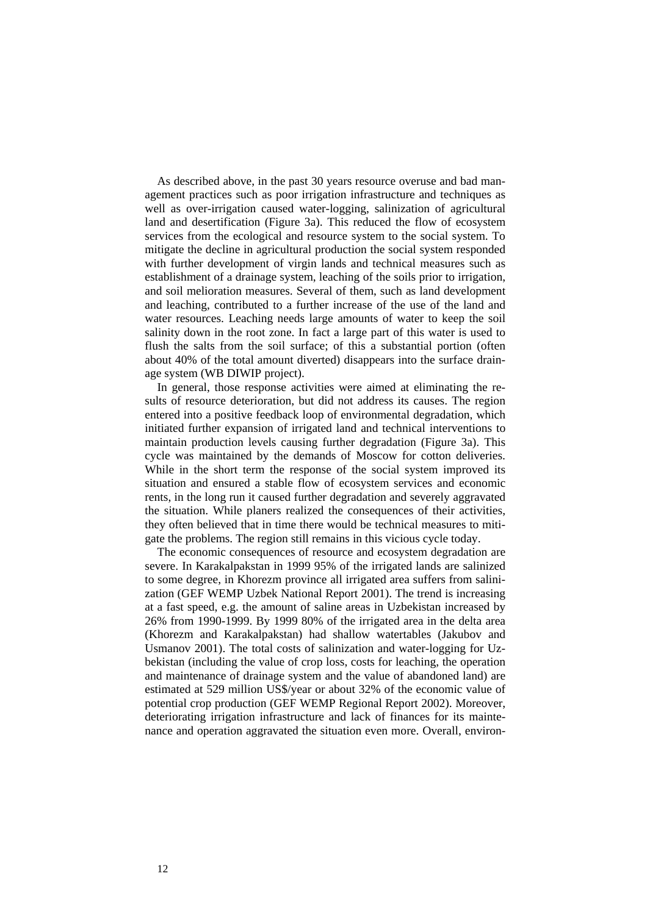As described above, in the past 30 years resource overuse and bad management practices such as poor irrigation infrastructure and techniques as well as over-irrigation caused water-logging, salinization of agricultural land and desertification (Figure 3a). This reduced the flow of ecosystem services from the ecological and resource system to the social system. To mitigate the decline in agricultural production the social system responded with further development of virgin lands and technical measures such as establishment of a drainage system, leaching of the soils prior to irrigation, and soil melioration measures. Several of them, such as land development and leaching, contributed to a further increase of the use of the land and water resources. Leaching needs large amounts of water to keep the soil salinity down in the root zone. In fact a large part of this water is used to flush the salts from the soil surface; of this a substantial portion (often about 40% of the total amount diverted) disappears into the surface drainage system (WB DIWIP project).

In general, those response activities were aimed at eliminating the results of resource deterioration, but did not address its causes. The region entered into a positive feedback loop of environmental degradation, which initiated further expansion of irrigated land and technical interventions to maintain production levels causing further degradation (Figure 3a). This cycle was maintained by the demands of Moscow for cotton deliveries. While in the short term the response of the social system improved its situation and ensured a stable flow of ecosystem services and economic rents, in the long run it caused further degradation and severely aggravated the situation. While planers realized the consequences of their activities, they often believed that in time there would be technical measures to mitigate the problems. The region still remains in this vicious cycle today.

The economic consequences of resource and ecosystem degradation are severe. In Karakalpakstan in 1999 95% of the irrigated lands are salinized to some degree, in Khorezm province all irrigated area suffers from salinization (GEF WEMP Uzbek National Report 2001). The trend is increasing at a fast speed, e.g. the amount of saline areas in Uzbekistan increased by 26% from 1990-1999. By 1999 80% of the irrigated area in the delta area (Khorezm and Karakalpakstan) had shallow watertables (Jakubov and Usmanov 2001). The total costs of salinization and water-logging for Uzbekistan (including the value of crop loss, costs for leaching, the operation and maintenance of drainage system and the value of abandoned land) are estimated at 529 million US\$/year or about 32% of the economic value of potential crop production (GEF WEMP Regional Report 2002). Moreover, deteriorating irrigation infrastructure and lack of finances for its maintenance and operation aggravated the situation even more. Overall, environ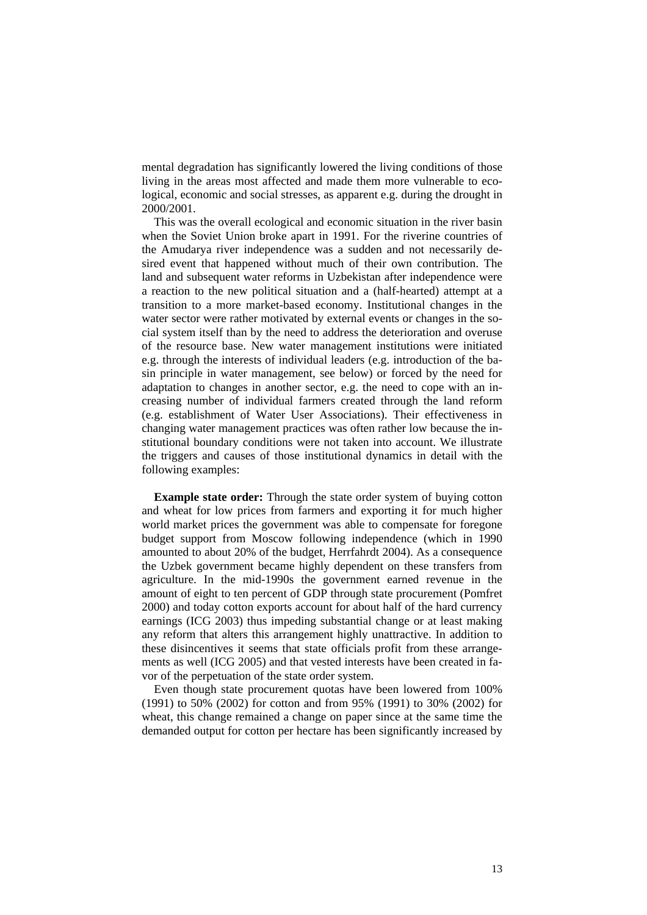mental degradation has significantly lowered the living conditions of those living in the areas most affected and made them more vulnerable to ecological, economic and social stresses, as apparent e.g. during the drought in 2000/2001.

This was the overall ecological and economic situation in the river basin when the Soviet Union broke apart in 1991. For the riverine countries of the Amudarya river independence was a sudden and not necessarily desired event that happened without much of their own contribution. The land and subsequent water reforms in Uzbekistan after independence were a reaction to the new political situation and a (half-hearted) attempt at a transition to a more market-based economy. Institutional changes in the water sector were rather motivated by external events or changes in the social system itself than by the need to address the deterioration and overuse of the resource base. New water management institutions were initiated e.g. through the interests of individual leaders (e.g. introduction of the basin principle in water management, see below) or forced by the need for adaptation to changes in another sector, e.g. the need to cope with an increasing number of individual farmers created through the land reform (e.g. establishment of Water User Associations). Their effectiveness in changing water management practices was often rather low because the institutional boundary conditions were not taken into account. We illustrate the triggers and causes of those institutional dynamics in detail with the following examples:

**Example state order:** Through the state order system of buying cotton and wheat for low prices from farmers and exporting it for much higher world market prices the government was able to compensate for foregone budget support from Moscow following independence (which in 1990 amounted to about 20% of the budget, Herrfahrdt 2004). As a consequence the Uzbek government became highly dependent on these transfers from agriculture. In the mid-1990s the government earned revenue in the amount of eight to ten percent of GDP through state procurement (Pomfret 2000) and today cotton exports account for about half of the hard currency earnings (ICG 2003) thus impeding substantial change or at least making any reform that alters this arrangement highly unattractive. In addition to these disincentives it seems that state officials profit from these arrangements as well (ICG 2005) and that vested interests have been created in favor of the perpetuation of the state order system.

Even though state procurement quotas have been lowered from 100% (1991) to 50% (2002) for cotton and from 95% (1991) to 30% (2002) for wheat, this change remained a change on paper since at the same time the demanded output for cotton per hectare has been significantly increased by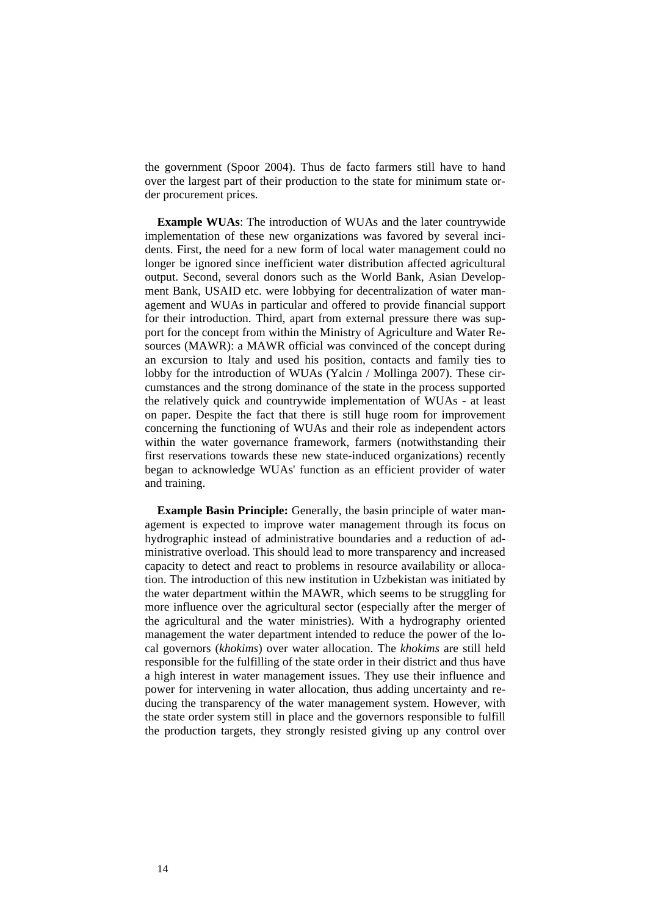the government (Spoor 2004). Thus de facto farmers still have to hand over the largest part of their production to the state for minimum state order procurement prices.

**Example WUAs**: The introduction of WUAs and the later countrywide implementation of these new organizations was favored by several incidents. First, the need for a new form of local water management could no longer be ignored since inefficient water distribution affected agricultural output. Second, several donors such as the World Bank, Asian Development Bank, USAID etc. were lobbying for decentralization of water management and WUAs in particular and offered to provide financial support for their introduction. Third, apart from external pressure there was support for the concept from within the Ministry of Agriculture and Water Resources (MAWR): a MAWR official was convinced of the concept during an excursion to Italy and used his position, contacts and family ties to lobby for the introduction of WUAs (Yalcin / Mollinga 2007). These circumstances and the strong dominance of the state in the process supported the relatively quick and countrywide implementation of WUAs - at least on paper. Despite the fact that there is still huge room for improvement concerning the functioning of WUAs and their role as independent actors within the water governance framework, farmers (notwithstanding their first reservations towards these new state-induced organizations) recently began to acknowledge WUAs' function as an efficient provider of water and training.

**Example Basin Principle:** Generally, the basin principle of water management is expected to improve water management through its focus on hydrographic instead of administrative boundaries and a reduction of administrative overload. This should lead to more transparency and increased capacity to detect and react to problems in resource availability or allocation. The introduction of this new institution in Uzbekistan was initiated by the water department within the MAWR, which seems to be struggling for more influence over the agricultural sector (especially after the merger of the agricultural and the water ministries). With a hydrography oriented management the water department intended to reduce the power of the local governors (*khokims*) over water allocation. The *khokims* are still held responsible for the fulfilling of the state order in their district and thus have a high interest in water management issues. They use their influence and power for intervening in water allocation, thus adding uncertainty and reducing the transparency of the water management system. However, with the state order system still in place and the governors responsible to fulfill the production targets, they strongly resisted giving up any control over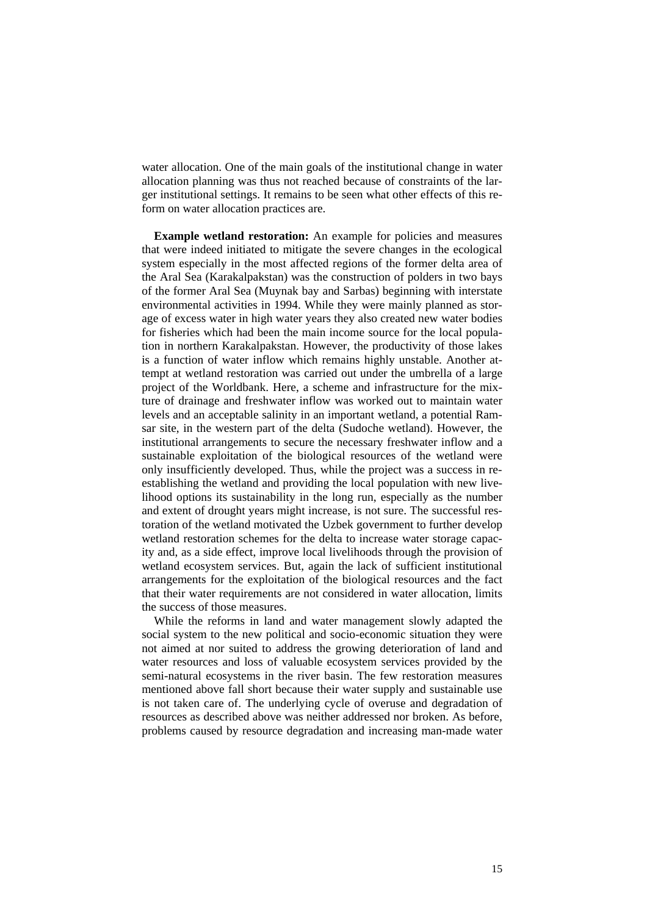water allocation. One of the main goals of the institutional change in water allocation planning was thus not reached because of constraints of the larger institutional settings. It remains to be seen what other effects of this reform on water allocation practices are.

**Example wetland restoration:** An example for policies and measures that were indeed initiated to mitigate the severe changes in the ecological system especially in the most affected regions of the former delta area of the Aral Sea (Karakalpakstan) was the construction of polders in two bays of the former Aral Sea (Muynak bay and Sarbas) beginning with interstate environmental activities in 1994. While they were mainly planned as storage of excess water in high water years they also created new water bodies for fisheries which had been the main income source for the local population in northern Karakalpakstan. However, the productivity of those lakes is a function of water inflow which remains highly unstable. Another attempt at wetland restoration was carried out under the umbrella of a large project of the Worldbank. Here, a scheme and infrastructure for the mixture of drainage and freshwater inflow was worked out to maintain water levels and an acceptable salinity in an important wetland, a potential Ramsar site, in the western part of the delta (Sudoche wetland). However, the institutional arrangements to secure the necessary freshwater inflow and a sustainable exploitation of the biological resources of the wetland were only insufficiently developed. Thus, while the project was a success in reestablishing the wetland and providing the local population with new livelihood options its sustainability in the long run, especially as the number and extent of drought years might increase, is not sure. The successful restoration of the wetland motivated the Uzbek government to further develop wetland restoration schemes for the delta to increase water storage capacity and, as a side effect, improve local livelihoods through the provision of wetland ecosystem services. But, again the lack of sufficient institutional arrangements for the exploitation of the biological resources and the fact that their water requirements are not considered in water allocation, limits the success of those measures.

While the reforms in land and water management slowly adapted the social system to the new political and socio-economic situation they were not aimed at nor suited to address the growing deterioration of land and water resources and loss of valuable ecosystem services provided by the semi-natural ecosystems in the river basin. The few restoration measures mentioned above fall short because their water supply and sustainable use is not taken care of. The underlying cycle of overuse and degradation of resources as described above was neither addressed nor broken. As before, problems caused by resource degradation and increasing man-made water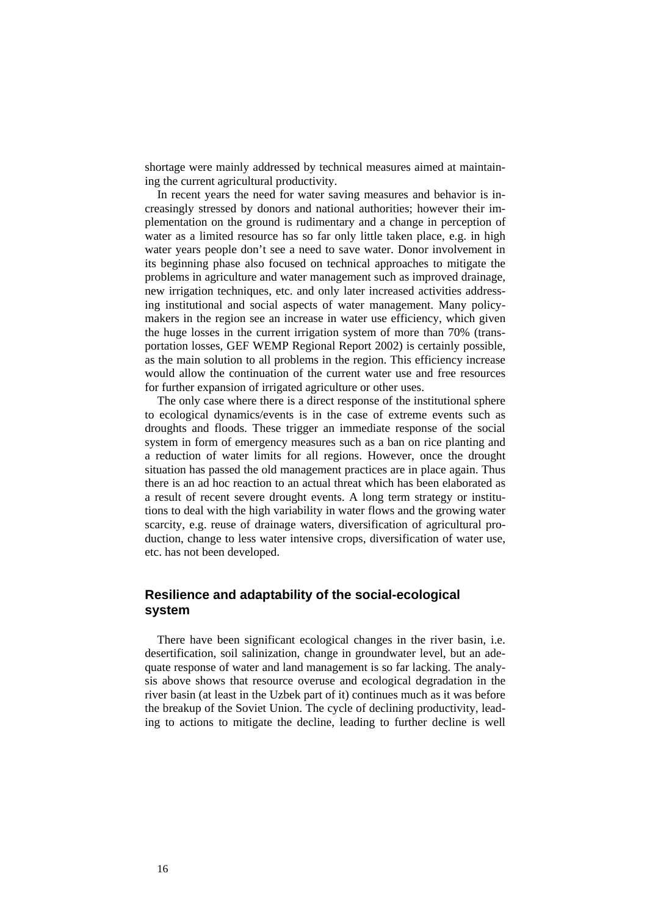shortage were mainly addressed by technical measures aimed at maintaining the current agricultural productivity.

In recent years the need for water saving measures and behavior is increasingly stressed by donors and national authorities; however their implementation on the ground is rudimentary and a change in perception of water as a limited resource has so far only little taken place, e.g. in high water years people don't see a need to save water. Donor involvement in its beginning phase also focused on technical approaches to mitigate the problems in agriculture and water management such as improved drainage, new irrigation techniques, etc. and only later increased activities addressing institutional and social aspects of water management. Many policymakers in the region see an increase in water use efficiency, which given the huge losses in the current irrigation system of more than 70% (transportation losses, GEF WEMP Regional Report 2002) is certainly possible, as the main solution to all problems in the region. This efficiency increase would allow the continuation of the current water use and free resources for further expansion of irrigated agriculture or other uses.

The only case where there is a direct response of the institutional sphere to ecological dynamics/events is in the case of extreme events such as droughts and floods. These trigger an immediate response of the social system in form of emergency measures such as a ban on rice planting and a reduction of water limits for all regions. However, once the drought situation has passed the old management practices are in place again. Thus there is an ad hoc reaction to an actual threat which has been elaborated as a result of recent severe drought events. A long term strategy or institutions to deal with the high variability in water flows and the growing water scarcity, e.g. reuse of drainage waters, diversification of agricultural production, change to less water intensive crops, diversification of water use, etc. has not been developed.

# **Resilience and adaptability of the social-ecological system**

There have been significant ecological changes in the river basin, i.e. desertification, soil salinization, change in groundwater level, but an adequate response of water and land management is so far lacking. The analysis above shows that resource overuse and ecological degradation in the river basin (at least in the Uzbek part of it) continues much as it was before the breakup of the Soviet Union. The cycle of declining productivity, leading to actions to mitigate the decline, leading to further decline is well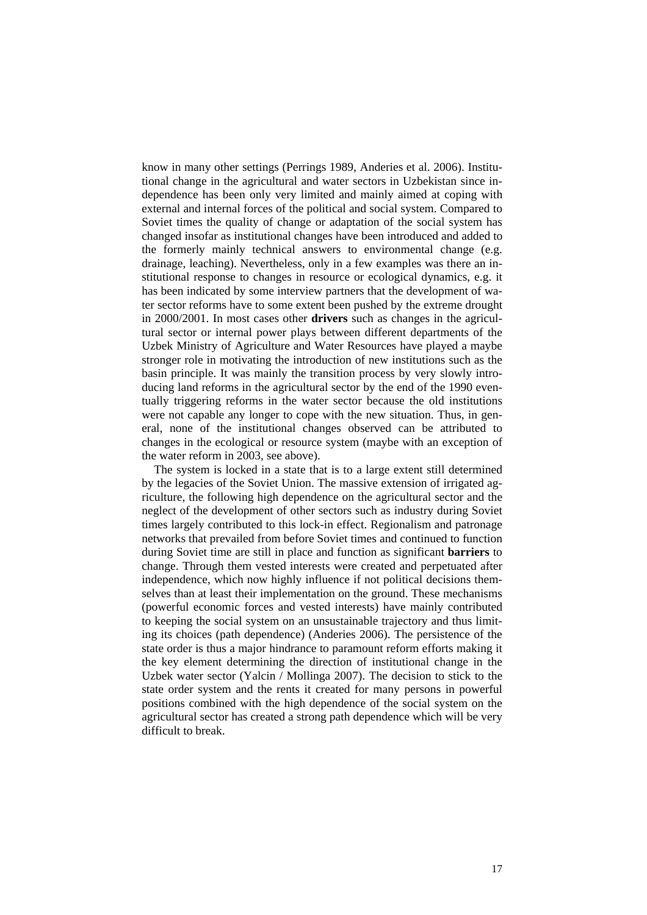know in many other settings (Perrings 1989, Anderies et al. 2006). Institutional change in the agricultural and water sectors in Uzbekistan since independence has been only very limited and mainly aimed at coping with external and internal forces of the political and social system. Compared to Soviet times the quality of change or adaptation of the social system has changed insofar as institutional changes have been introduced and added to the formerly mainly technical answers to environmental change (e.g. drainage, leaching). Nevertheless, only in a few examples was there an institutional response to changes in resource or ecological dynamics, e.g. it has been indicated by some interview partners that the development of water sector reforms have to some extent been pushed by the extreme drought in 2000/2001. In most cases other **drivers** such as changes in the agricultural sector or internal power plays between different departments of the Uzbek Ministry of Agriculture and Water Resources have played a maybe stronger role in motivating the introduction of new institutions such as the basin principle. It was mainly the transition process by very slowly introducing land reforms in the agricultural sector by the end of the 1990 eventually triggering reforms in the water sector because the old institutions were not capable any longer to cope with the new situation. Thus, in general, none of the institutional changes observed can be attributed to changes in the ecological or resource system (maybe with an exception of the water reform in 2003, see above).

The system is locked in a state that is to a large extent still determined by the legacies of the Soviet Union. The massive extension of irrigated agriculture, the following high dependence on the agricultural sector and the neglect of the development of other sectors such as industry during Soviet times largely contributed to this lock-in effect. Regionalism and patronage networks that prevailed from before Soviet times and continued to function during Soviet time are still in place and function as significant **barriers** to change. Through them vested interests were created and perpetuated after independence, which now highly influence if not political decisions themselves than at least their implementation on the ground. These mechanisms (powerful economic forces and vested interests) have mainly contributed to keeping the social system on an unsustainable trajectory and thus limiting its choices (path dependence) (Anderies 2006). The persistence of the state order is thus a major hindrance to paramount reform efforts making it the key element determining the direction of institutional change in the Uzbek water sector (Yalcin / Mollinga 2007). The decision to stick to the state order system and the rents it created for many persons in powerful positions combined with the high dependence of the social system on the agricultural sector has created a strong path dependence which will be very difficult to break.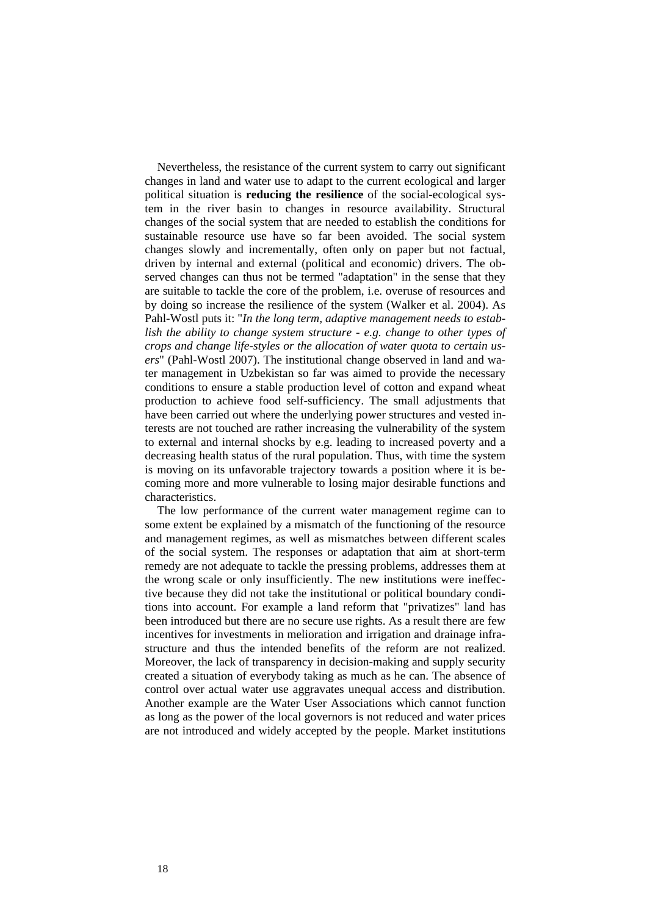Nevertheless, the resistance of the current system to carry out significant changes in land and water use to adapt to the current ecological and larger political situation is **reducing the resilience** of the social-ecological system in the river basin to changes in resource availability. Structural changes of the social system that are needed to establish the conditions for sustainable resource use have so far been avoided. The social system changes slowly and incrementally, often only on paper but not factual, driven by internal and external (political and economic) drivers. The observed changes can thus not be termed "adaptation" in the sense that they are suitable to tackle the core of the problem, i.e. overuse of resources and by doing so increase the resilience of the system (Walker et al. 2004). As Pahl-Wostl puts it: "*In the long term, adaptive management needs to establish the ability to change system structure - e.g. change to other types of crops and change life-styles or the allocation of water quota to certain users*" (Pahl-Wostl 2007). The institutional change observed in land and water management in Uzbekistan so far was aimed to provide the necessary conditions to ensure a stable production level of cotton and expand wheat production to achieve food self-sufficiency. The small adjustments that have been carried out where the underlying power structures and vested interests are not touched are rather increasing the vulnerability of the system to external and internal shocks by e.g. leading to increased poverty and a decreasing health status of the rural population. Thus, with time the system is moving on its unfavorable trajectory towards a position where it is becoming more and more vulnerable to losing major desirable functions and characteristics.

The low performance of the current water management regime can to some extent be explained by a mismatch of the functioning of the resource and management regimes, as well as mismatches between different scales of the social system. The responses or adaptation that aim at short-term remedy are not adequate to tackle the pressing problems, addresses them at the wrong scale or only insufficiently. The new institutions were ineffective because they did not take the institutional or political boundary conditions into account. For example a land reform that "privatizes" land has been introduced but there are no secure use rights. As a result there are few incentives for investments in melioration and irrigation and drainage infrastructure and thus the intended benefits of the reform are not realized. Moreover, the lack of transparency in decision-making and supply security created a situation of everybody taking as much as he can. The absence of control over actual water use aggravates unequal access and distribution. Another example are the Water User Associations which cannot function as long as the power of the local governors is not reduced and water prices are not introduced and widely accepted by the people. Market institutions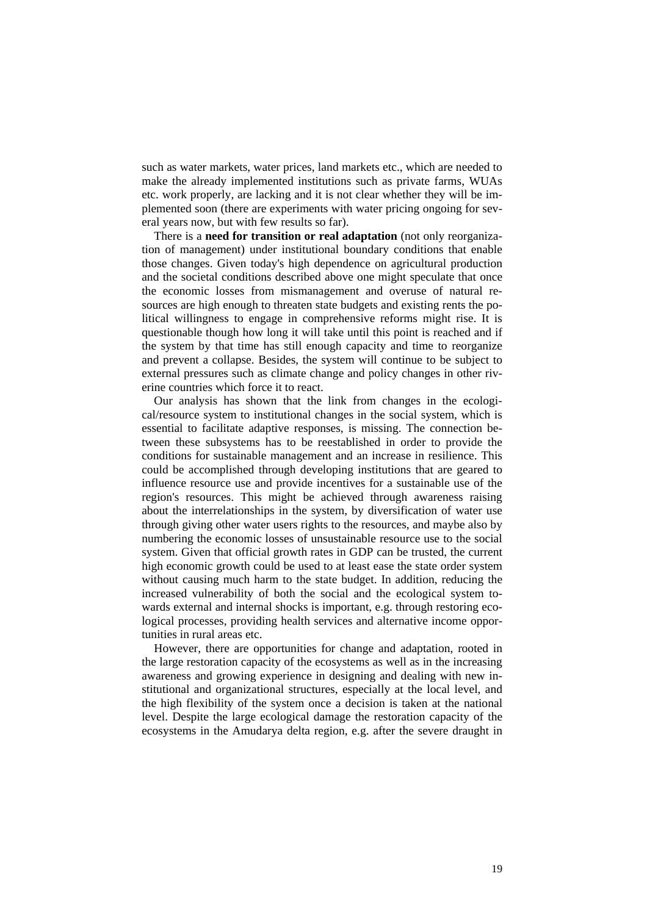such as water markets, water prices, land markets etc., which are needed to make the already implemented institutions such as private farms, WUAs etc. work properly, are lacking and it is not clear whether they will be implemented soon (there are experiments with water pricing ongoing for several years now, but with few results so far).

There is a **need for transition or real adaptation** (not only reorganization of management) under institutional boundary conditions that enable those changes. Given today's high dependence on agricultural production and the societal conditions described above one might speculate that once the economic losses from mismanagement and overuse of natural resources are high enough to threaten state budgets and existing rents the political willingness to engage in comprehensive reforms might rise. It is questionable though how long it will take until this point is reached and if the system by that time has still enough capacity and time to reorganize and prevent a collapse. Besides, the system will continue to be subject to external pressures such as climate change and policy changes in other riverine countries which force it to react.

Our analysis has shown that the link from changes in the ecological/resource system to institutional changes in the social system, which is essential to facilitate adaptive responses, is missing. The connection between these subsystems has to be reestablished in order to provide the conditions for sustainable management and an increase in resilience. This could be accomplished through developing institutions that are geared to influence resource use and provide incentives for a sustainable use of the region's resources. This might be achieved through awareness raising about the interrelationships in the system, by diversification of water use through giving other water users rights to the resources, and maybe also by numbering the economic losses of unsustainable resource use to the social system. Given that official growth rates in GDP can be trusted, the current high economic growth could be used to at least ease the state order system without causing much harm to the state budget. In addition, reducing the increased vulnerability of both the social and the ecological system towards external and internal shocks is important, e.g. through restoring ecological processes, providing health services and alternative income opportunities in rural areas etc.

However, there are opportunities for change and adaptation, rooted in the large restoration capacity of the ecosystems as well as in the increasing awareness and growing experience in designing and dealing with new institutional and organizational structures, especially at the local level, and the high flexibility of the system once a decision is taken at the national level. Despite the large ecological damage the restoration capacity of the ecosystems in the Amudarya delta region, e.g. after the severe draught in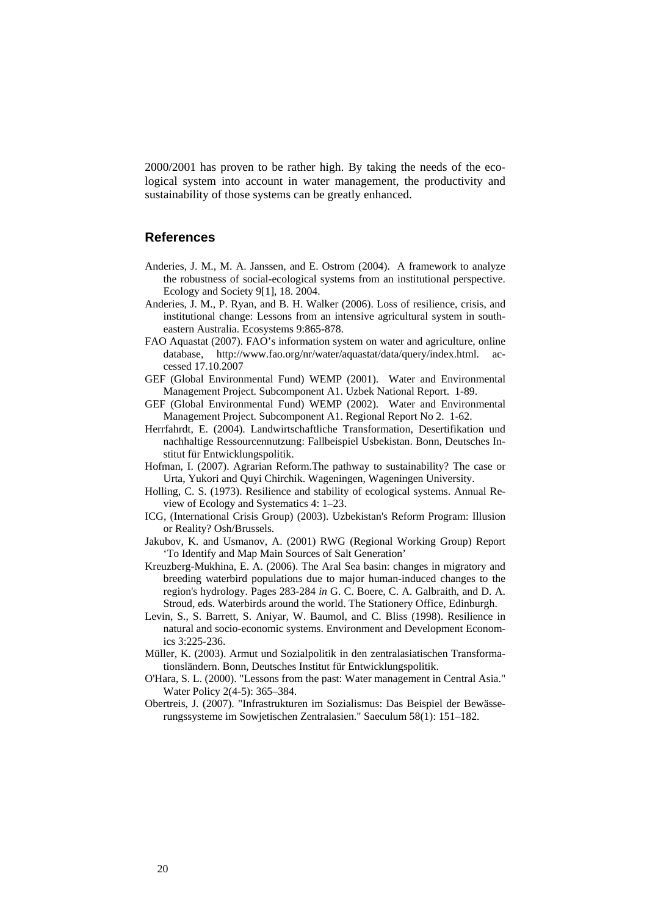2000/2001 has proven to be rather high. By taking the needs of the ecological system into account in water management, the productivity and sustainability of those systems can be greatly enhanced.

### **References**

- Anderies, J. M., M. A. Janssen, and E. Ostrom (2004). A framework to analyze the robustness of social-ecological systems from an institutional perspective. Ecology and Society 9[1], 18. 2004.
- Anderies, J. M., P. Ryan, and B. H. Walker (2006). Loss of resilience, crisis, and institutional change: Lessons from an intensive agricultural system in southeastern Australia. Ecosystems 9:865-878.
- FAO Aquastat (2007). FAO's information system on water and agriculture, online database, http://www.fao.org/nr/water/aquastat/data/query/index.html. accessed 17.10.2007
- GEF (Global Environmental Fund) WEMP (2001). Water and Environmental Management Project. Subcomponent A1. Uzbek National Report. 1-89.
- GEF (Global Environmental Fund) WEMP (2002). Water and Environmental Management Project. Subcomponent A1. Regional Report No 2. 1-62.
- Herrfahrdt, E. (2004). Landwirtschaftliche Transformation, Desertifikation und nachhaltige Ressourcennutzung: Fallbeispiel Usbekistan. Bonn, Deutsches Institut für Entwicklungspolitik.
- Hofman, I. (2007). Agrarian Reform.The pathway to sustainability? The case or Urta, Yukori and Quyi Chirchik. Wageningen, Wageningen University.
- Holling, C. S. (1973). Resilience and stability of ecological systems. Annual Review of Ecology and Systematics 4: 1–23.
- ICG, (International Crisis Group) (2003). Uzbekistan's Reform Program: Illusion or Reality? Osh/Brussels.
- Jakubov, K. and Usmanov, A. (2001) RWG (Regional Working Group) Report 'To Identify and Map Main Sources of Salt Generation'
- Kreuzberg-Mukhina, E. A. (2006). The Aral Sea basin: changes in migratory and breeding waterbird populations due to major human-induced changes to the region's hydrology. Pages 283-284 *in* G. C. Boere, C. A. Galbraith, and D. A. Stroud, eds. Waterbirds around the world. The Stationery Office, Edinburgh.
- Levin, S., S. Barrett, S. Aniyar, W. Baumol, and C. Bliss (1998). Resilience in natural and socio-economic systems. Environment and Development Economics 3:225-236.
- Müller, K. (2003). Armut und Sozialpolitik in den zentralasiatischen Transformationsländern. Bonn, Deutsches Institut für Entwicklungspolitik.
- O'Hara, S. L. (2000). "Lessons from the past: Water management in Central Asia." Water Policy 2(4-5): 365–384.
- Obertreis, J. (2007). "Infrastrukturen im Sozialismus: Das Beispiel der Bewässerungssysteme im Sowjetischen Zentralasien." Saeculum 58(1): 151–182.